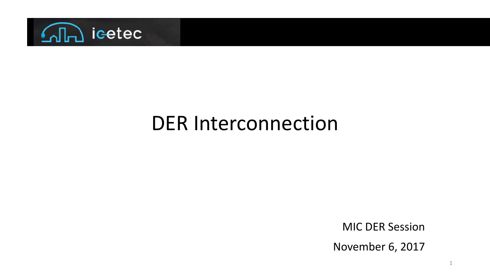

#### DER Interconnection

MIC DER Session

November 6, 2017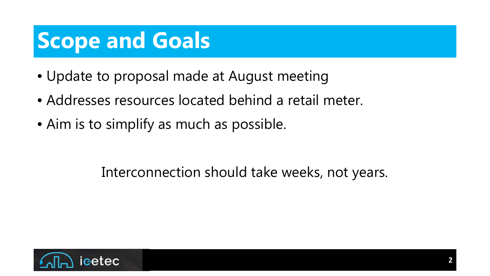### **Scope and Goals**

- Update to proposal made at August meeting
- Addresses resources located behind a retail meter.
- Aim is to simplify as much as possible.

#### Interconnection should take weeks, not years.

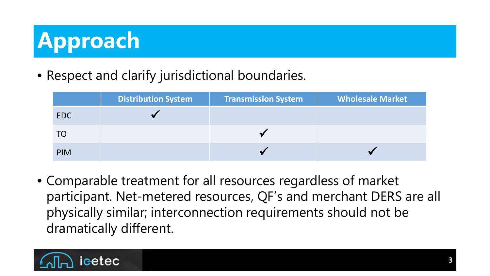# **Approach**

• Respect and clarify jurisdictional boundaries.

|            | <b>Distribution System</b> | <b>Transmission System</b> | <b>Wholesale Market</b> |
|------------|----------------------------|----------------------------|-------------------------|
| EDC        |                            |                            |                         |
|            |                            |                            |                         |
| <b>PJM</b> |                            |                            |                         |

• Comparable treatment for all resources regardless of market participant. Net-metered resources, QF's and merchant DERS are all physically similar; interconnection requirements should not be dramatically different.

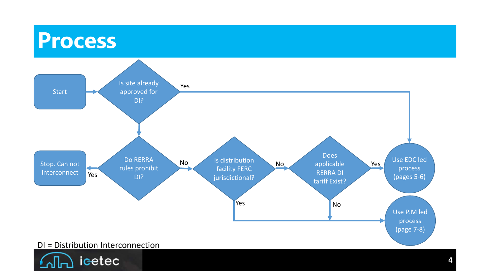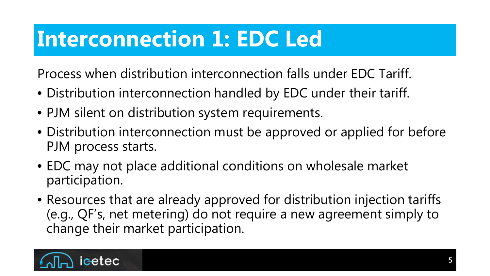#### **Interconnection 1: EDC Led**

Process when distribution interconnection falls under EDC Tariff.

- Distribution interconnection handled by EDC under their tariff.
- PJM silent on distribution system requirements.
- Distribution interconnection must be approved or applied for before PJM process starts.
- EDC may not place additional conditions on wholesale market participation.
- Resources that are already approved for distribution injection tariffs (e.g., QF's, net metering) do not require a new agreement simply to change their market participation.

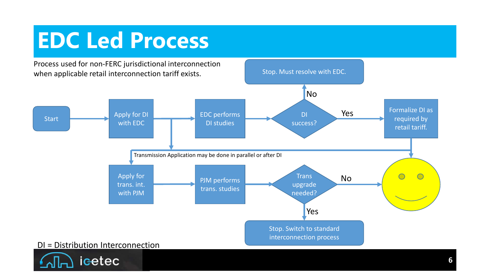#### **EDC Led Process**

Process used for non-FERC jurisdictional interconnection when applicable retail interconnection tariff exists.

icetec

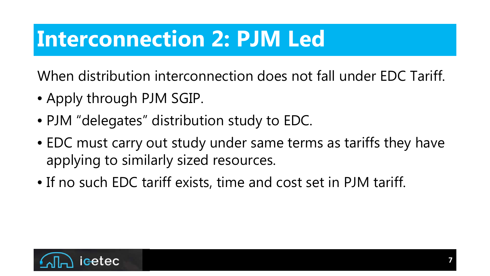#### **Interconnection 2: PJM Led**

When distribution interconnection does not fall under EDC Tariff.

- Apply through PJM SGIP.
- PJM "delegates" distribution study to EDC.
- EDC must carry out study under same terms as tariffs they have applying to similarly sized resources.
- If no such EDC tariff exists, time and cost set in PJM tariff.

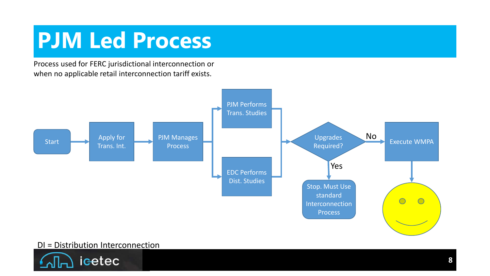#### **PJM Led Process**

Process used for FERC jurisdictional interconnection or when no applicable retail interconnection tariff exists.



#### DI = Distribution Interconnection

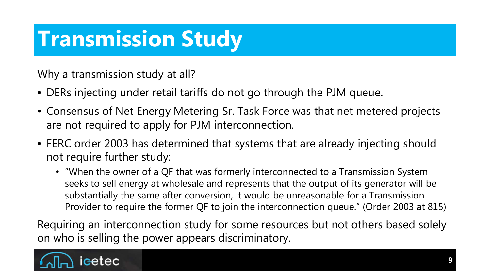#### **Transmission Study**

Why a transmission study at all?

- DERs injecting under retail tariffs do not go through the PJM queue.
- Consensus of Net Energy Metering Sr. Task Force was that net metered projects are not required to apply for PJM interconnection.
- FERC order 2003 has determined that systems that are already injecting should not require further study:
	- "When the owner of a QF that was formerly interconnected to a Transmission System seeks to sell energy at wholesale and represents that the output of its generator will be substantially the same after conversion, it would be unreasonable for a Transmission Provider to require the former QF to join the interconnection queue." (Order 2003 at 815)

Requiring an interconnection study for some resources but not others based solely on who is selling the power appears discriminatory.

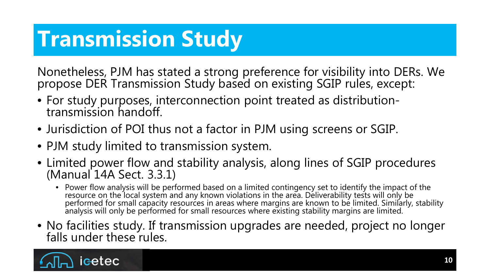### **Transmission Study**

Nonetheless, PJM has stated a strong preference for visibility into DERs. We propose DER Transmission Study based on existing SGIP rules, except:

- For study purposes, interconnection point treated as distribution- transmission handoff.
- Jurisdiction of POI thus not a factor in PJM using screens or SGIP.
- PJM study limited to transmission system.
- Limited power flow and stability analysis, along lines of SGIP procedures (Manual 14A Sect. 3.3.1)
	- Power flow analysis will be performed based on a limited contingency set to identify the impact of the resource on the local system and any known violations in the area. Deliverability tests will only be performed for small capacity resources in areas where margins are known to be limited. Similarly, stability analysis will only be performed for small resources where existing stability margins are limited.
- No facilities study. If transmission upgrades are needed, project no longer falls under these rules.

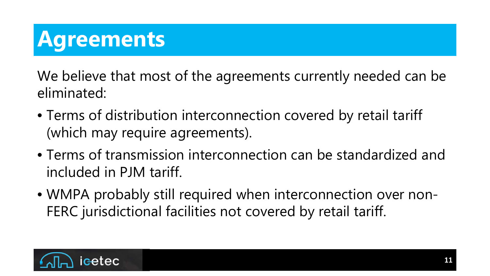## **Agreements**

We believe that most of the agreements currently needed can be eliminated:

- Terms of distribution interconnection covered by retail tariff (which may require agreements).
- Terms of transmission interconnection can be standardized and included in PJM tariff.
- WMPA probably still required when interconnection over non-FERC jurisdictional facilities not covered by retail tariff.

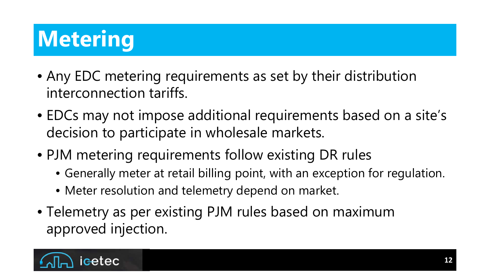# **Metering**

- Any EDC metering requirements as set by their distribution interconnection tariffs.
- EDCs may not impose additional requirements based on a site's decision to participate in wholesale markets.
- PJM metering requirements follow existing DR rules
	- Generally meter at retail billing point, with an exception for regulation.
	- Meter resolution and telemetry depend on market.
- Telemetry as per existing PJM rules based on maximum approved injection.